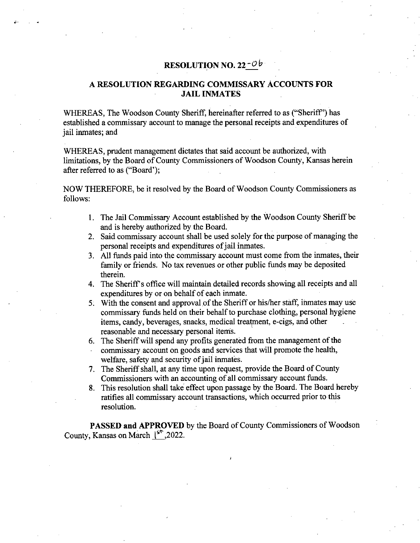## **RESOLUTION NO. 22**

## **A RESOLUTION REGARDING COMMISSARY ACCOUNTS FOR JAIL INMATES**

WHEREAS, The Woodson County Sheriff, hereinafter referred to as ("Sheriff') has established a commissary account to manage the personal receipts and expenditures of jail inmates; and

WHEREAS, prudent management dictates that said account be authorized, with limitations, by the Board of County Commissioners of Woodson County, Kansas herein after referred to as ("Board');

NOW THEREFORE, be it resolved by the Board of Woodson County Commissioners as follows:

- 1. The Jail Commissary Account established by the Woodson County Sheriff be and is hereby authorized by the Board.
- 2. Said commissary account shall be used solely for the purpose of managing the personal receipts and expenditures of jail inmates.
- All finds paid into the commissary account must come from the inmates, their family or friends. No tax revenues or other public funds may be deposited therein.
- The Sheriff's office will maintain detailed records showing all receipts and all expenditures by or on behalf of each inmate.
- 5. With the consent and approval of the Sheriff or his/her staff, inmates may use commissary funds held on their behalf to purchase clothing, personal hygiene items, candy, beverages, snacks, medical treatment, e-cigs, and other reasonable and necessary personal items.
- The Sheriff will spend any profits generated from the management of the commissary account on goods and services that will promote the health, welfare, safety and security of jail inmates.
- The Sheriff shall, at any time upon request, provide the Board of County Commissioners with an accounting of all commissary account funds.
- This resolution shall take effect upon passage by the Board. The Board hereby ratifies all commissary account transactions, which occurred prior to this resolution.

**PASSED and APPROVED** by the Board of County Commissioners of Woodson County, Kansas on March  $\frac{1}{5}$ ,2022.